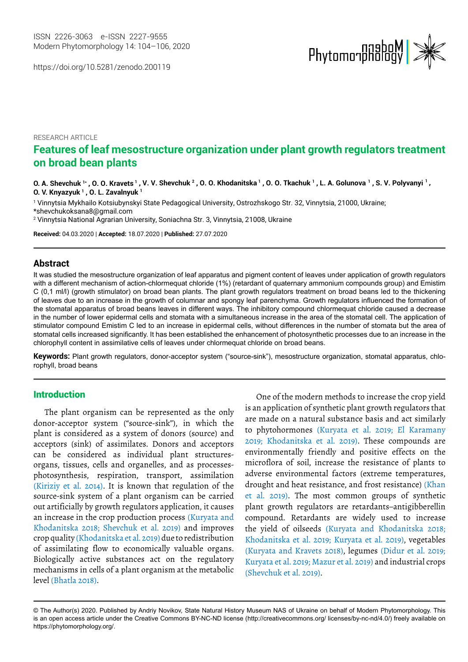https://doi.org/10.5281/zenodo.200119



# RESEARCH ARTICLE **Features of leaf mesostructure organization under plant growth regulators treatment on broad bean plants**

0. A. Shevchuk 1\* , O. O. Kravets 1 , V. V. Shevchuk <sup>2</sup> , O. O. Khodanitska 1 , O. O. Tkachuk 1 , L. A. Golunova 1 , S. V. Polyvanyi <sup>1</sup> , **O. V. Knyazyuk <sup>1</sup> , O. L. Zavalnyuk <sup>1</sup>**

1 Vinnytsia Mykhailo Kotsiubynskyi State Pedagogical University, Ostrozhskogo Str. 32, Vinnytsia, 21000, Ukraine; [\\*shevchukoksana8@gmail.com](shevchukoksana8@gmail.com)

2 Vinnytsia National Agrarian University, Soniachna Str. 3, Vinnytsia, 21008, Ukraine

**Received:** 04.03.2020 | **Accepted:** 18.07.2020 | **Published:** 27.07.2020

### **Abstract**

It was studied the mesostructure organization of leaf apparatus and pigment content of leaves under application of growth regulators with a different mechanism of action-chlormequat chloride (1%) (retardant of quaternary ammonium compounds group) and Emistim C (0,1 ml/l) (growth stimulator) on broad bean plants. The plant growth regulators treatment on broad beans led to the thickening of leaves due to an increase in the growth of columnar and spongy leaf parenchyma. Growth regulators influenced the formation of the stomatal apparatus of broad beans leaves in different ways. The inhibitory compound chlormequat chloride caused a decrease in the number of lower epidermal cells and stomata with a simultaneous increase in the area of the stomatal cell. The application of stimulator compound Emistim C led to an increase in epidermal cells, without differences in the number of stomata but the area of stomatal cells increased significantly. It has been established the enhancement of photosynthetic processes due to an increase in the chlorophyll content in assimilative cells of leaves under chlormequat chloride on broad beans.

**Keywords:** Plant growth regulators, donor-acceptor system ("source-sink"), mesostructure organization, stomatal apparatus, chlorophyll, broad beans

# Introduction

The plant organism can be represented as the only donor-acceptor system ("source-sink"), in which the plant is considered as a system of donors (source) and acceptors (sink) of assimilates. Donors and acceptors can be considered as individual plant structuresorgans, tissues, cells and organelles, and as processesphotosynthesis, respiration, transport, assimilation (Kiriziy et al. 2014). It is known that regulation of the source-sink system of a plant organism can be carried out artificially by growth regulators application, it causes an increase in the crop production process (Kuryata and Khodanitska 2018; Shevchuk et al. 2019) and improves crop quality (Khodanitska et al. 2019) due to redistribution of assimilating flow to economically valuable organs. Biologically active substances act on the regulatory mechanisms in cells of a plant organism at the metabolic level (Bhatla 2018).

One of the modern methods to increase the crop yield is an application of synthetic plant growth regulators that are made on a natural substance basis and act similarly to phytohormones (Kuryata et al. 2019; El Karamany 2019; Khodanitska et al. 2019). These compounds are environmentally friendly and positive effects on the microflora of soil, increase the resistance of plants to adverse environmental factors (extreme temperatures, drought and heat resistance, and frost resistance) (Khan et al. 2019). The most common groups of synthetic plant growth regulators are retardants–antigibberellin compound. Retardants are widely used to increase the yield of oilseeds (Kuryata and Khodanitska 2018; Khodanitska et al. 2019; Kuryata et al. 2019), vegetables (Kuryata and Kravets 2018), legumes (Didur et al. 2019; Kuryata et al. 2019; Mazur et al. 2019) and industrial crops (Shevchuk et al. 2019).

<sup>©</sup> The Author(s) 2020. Published by Andriy Novikov, State Natural History Museum NAS of Ukraine on behalf of Modern Phytomorphology. This is an open access article under the Creative Commons BY-NC-ND license (http://creativecommons.org/ licenses/by-nc-nd/4.0/) freely available on https://phytomorphology.org/.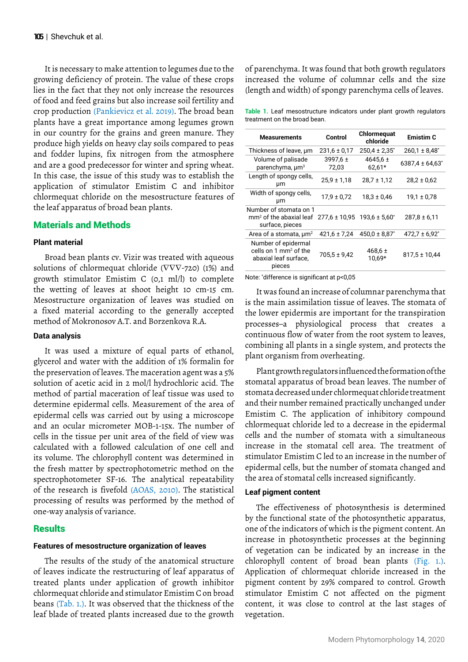It is necessary to make attention to legumes due to the growing deficiency of protein. The value of these crops lies in the fact that they not only increase the resources of food and feed grains but also increase soil fertility and crop production (Pankievicz et al. 2019). The broad bean plants have a great importance among legumes grown in our country for the grains and green manure. They produce high yields on heavy clay soils compared to peas and fodder lupins, fix nitrogen from the atmosphere and are a good predecessor for winter and spring wheat. In this case, the issue of this study was to establish the application of stimulator Emistim C and inhibitor chlormequat chloride on the mesostructure features of the leaf apparatus of broad bean plants.

# Materials and Methods

#### **Plant material**

Broad bean plants cv. Vizir was treated with aqueous solutions of chlormequat chloride (∇∇∇-720) (1%) and growth stimulator Emistim C (0,1 ml/l) to complete the wetting of leaves at shoot height 10 cm-15 cm. Mesostructure organization of leaves was studied on a fixed material according to the generally accepted method of Mokronosov A.T. and Borzenkova R.A.

#### **Data analysis**

It was used a mixture of equal parts of ethanol, glycerol and water with the addition of 1% formalin for the preservation of leaves. The maceration agent was a 5% solution of acetic acid in 2 mol/l hydrochloric acid. The method of partial maceration of leaf tissue was used to determine epidermal cells. Measurement of the area of epidermal cells was carried out by using a microscope and an ocular micrometer MOB-1-15x. The number of cells in the tissue per unit area of the field of view was calculated with a followed calculation of one cell and its volume. The chlorophyll content was determined in the fresh matter by spectrophotometric method on the spectrophotometer SF-16. The analytical repeatability of the research is fivefold (AOAS, 2010). The statistical processing of results was performed by the method of one-way analysis of variance.

# **Results**

### **Features of mesostructure organization of leaves**

The results of the study of the anatomical structure of leaves indicate the restructuring of leaf apparatus of treated plants under application of growth inhibitor chlormequat chloride and stimulator Emistim C on broad beans (Tab. 1.). It was observed that the thickness of the leaf blade of treated plants increased due to the growth

of parenchyma. It was found that both growth regulators increased the volume of columnar cells and the size (length and width) of spongy parenchyma cells of leaves.

**Table 1.** Leaf mesostructure indicators under plant growth regulators treatment on the broad bean.

| <b>Measurements</b>                                                               | Control               | Chlormequat<br>chloride       | <b>Emistim C</b>                |
|-----------------------------------------------------------------------------------|-----------------------|-------------------------------|---------------------------------|
| Thickness of leave, um                                                            | $231.6 \pm 0.17$      | $250.4 \pm 2.35$ <sup>*</sup> | $260.1 \pm 8.48^*$              |
| Volume of palisade<br>parenchyma, $\mu m^3$                                       | 3997,6 $\pm$<br>72,03 | 4645,6 $\pm$<br>$62.61*$      | $6387.4 \pm 64.63$ <sup>*</sup> |
| Length of spongy cells,<br>μm                                                     | $25.9 \pm 1.18$       | $28.7 \pm 1.12$               | $28.2 \pm 0.62$                 |
| Width of spongy cells,<br>μm                                                      | $17.9 \pm 0.72$       | $18.3 \pm 0.46$               | $19,1 \pm 0,78$                 |
| Number of stomata on 1<br>$\mathsf{mm}^2$ of the abaxial leaf<br>surface, pieces  | $277.6 \pm 10.95$     | $193.6 \pm 5.60^*$            | $287,8 \pm 6,11$                |
| Area of a stomata, $\mu m^2$                                                      | $421.6 \pm 7.24$      | $450.0 \pm 8.87$ <sup>*</sup> | $472.7 \pm 6.92^*$              |
| Number of epidermal<br>cells on 1 $mm2$ of the<br>abaxial leaf surface,<br>pieces | $705.5 \pm 9.42$      | 468,6 $\pm$<br>10.69*         | $817.5 \pm 10.44$               |

Note: \* difference is significant at p<0,05

It was found an increase of columnar parenchyma that is the main assimilation tissue of leaves. The stomata of the lower epidermis are important for the transpiration processes–a physiological process that creates a continuous flow of water from the root system to leaves, combining all plants in a single system, and protects the plant organism from overheating.

Plant growth regulators influenced the formation of the stomatal apparatus of broad bean leaves. The number of stomata decreased under chlormequat chloride treatment and their number remained practically unchanged under Emistim C. The application of inhibitory compound chlormequat chloride led to a decrease in the epidermal cells and the number of stomata with a simultaneous increase in the stomatal cell area. The treatment of stimulator Emistim C led to an increase in the number of epidermal cells, but the number of stomata changed and the area of stomatal cells increased significantly.

#### **Leaf pigment content**

The effectiveness of photosynthesis is determined by the functional state of the photosynthetic apparatus, one of the indicators of which is the pigment content. An increase in photosynthetic processes at the beginning of vegetation can be indicated by an increase in the chlorophyll content of broad bean plants (Fig. 1.). Application of chlormequat chloride increased in the pigment content by 29% compared to control. Growth stimulator Emistim C not affected on the pigment content, it was close to control at the last stages of vegetation.